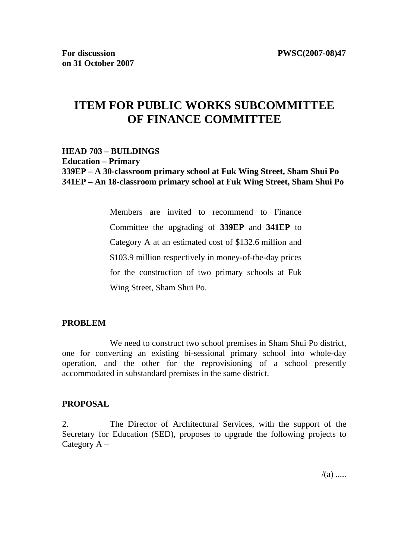# **ITEM FOR PUBLIC WORKS SUBCOMMITTEE OF FINANCE COMMITTEE**

# **HEAD 703 – BUILDINGS Education – Primary 339EP – A 30-classroom primary school at Fuk Wing Street, Sham Shui Po 341EP – An 18-classroom primary school at Fuk Wing Street, Sham Shui Po**

Members are invited to recommend to Finance Committee the upgrading of **339EP** and **341EP** to Category A at an estimated cost of \$132.6 million and \$103.9 million respectively in money-of-the-day prices for the construction of two primary schools at Fuk Wing Street, Sham Shui Po.

#### **PROBLEM**

 We need to construct two school premises in Sham Shui Po district, one for converting an existing bi-sessional primary school into whole-day operation, and the other for the reprovisioning of a school presently accommodated in substandard premises in the same district.

#### **PROPOSAL**

2. The Director of Architectural Services, with the support of the Secretary for Education (SED), proposes to upgrade the following projects to Category  $A -$ 

 $/(a)$  .....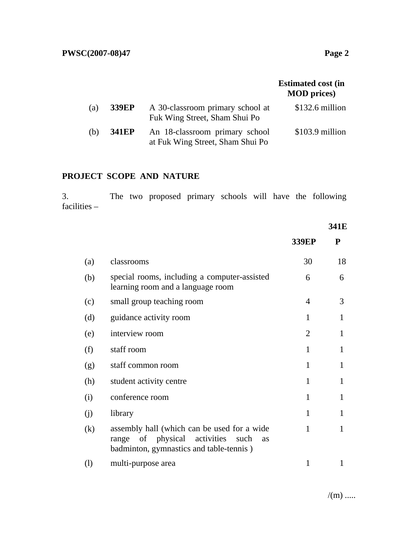|     |              |                                                                    | <b>Estimated cost (in</b><br><b>MOD</b> prices) |
|-----|--------------|--------------------------------------------------------------------|-------------------------------------------------|
| (a) | <b>339EP</b> | A 30-classroom primary school at<br>Fuk Wing Street, Sham Shui Po  | $$132.6$ million                                |
| (b) | <b>341EP</b> | An 18-classroom primary school<br>at Fuk Wing Street, Sham Shui Po | $$103.9$ million                                |

# **PROJECT SCOPE AND NATURE**

3. The two proposed primary schools will have the following facilities –

### **341E**

|          |                                                                                                                                                | <b>339EP</b>   | ${\bf P}$ |
|----------|------------------------------------------------------------------------------------------------------------------------------------------------|----------------|-----------|
| (a)      | classrooms                                                                                                                                     | 30             | 18        |
| (b)      | special rooms, including a computer-assisted<br>learning room and a language room                                                              | 6              | 6         |
| (c)      | small group teaching room                                                                                                                      | 4              | 3         |
| (d)      | guidance activity room                                                                                                                         | 1              | 1         |
| (e)      | interview room                                                                                                                                 | $\overline{2}$ | 1         |
| (f)      | staff room                                                                                                                                     | 1              | 1         |
| (g)      | staff common room                                                                                                                              | 1              |           |
| (h)      | student activity centre                                                                                                                        | 1              | 1         |
| (i)      | conference room                                                                                                                                | 1              | 1         |
| (i)      | library                                                                                                                                        | $\mathbf{1}$   | 1         |
| (k)      | assembly hall (which can be used for a wide<br>of physical activities<br>such<br>range<br><b>as</b><br>badminton, gymnastics and table-tennis) | $\mathbf{1}$   | 1         |
| $\rm(l)$ | multi-purpose area                                                                                                                             | 1              |           |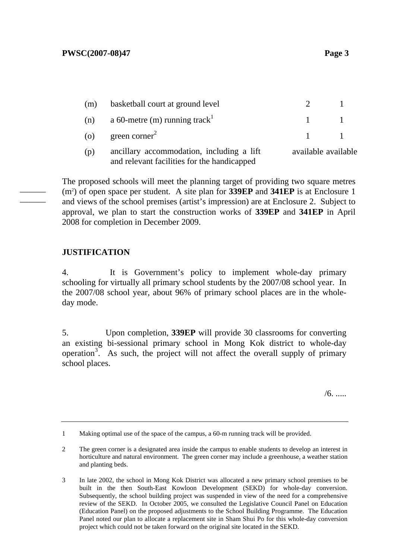| (m) | basketball court at ground level                                                         |                     |  |
|-----|------------------------------------------------------------------------------------------|---------------------|--|
|     | (n) a 60-metre (m) running track <sup>1</sup>                                            | $\sim$ 1            |  |
|     | (o) green corner <sup>2</sup>                                                            | $\sim$ 1            |  |
| (p) | ancillary accommodation, including a lift<br>and relevant facilities for the handicapped | available available |  |

The proposed schools will meet the planning target of providing two square metres (m2 ) of open space per student. A site plan for **339EP** and **341EP** is at Enclosure 1 and views of the school premises (artist's impression) are at Enclosure 2. Subject to approval, we plan to start the construction works of **339EP** and **341EP** in April 2008 for completion in December 2009.

# **JUSTIFICATION**

——— ———

> 4. It is Government's policy to implement whole-day primary schooling for virtually all primary school students by the 2007/08 school year. In the 2007/08 school year, about 96% of primary school places are in the wholeday mode.

> 5. Upon completion, **339EP** will provide 30 classrooms for converting an existing bi-sessional primary school in Mong Kok district to whole-day operation<sup>3</sup>. As such, the project will not affect the overall supply of primary school places.

> > /6. .....

<sup>1</sup> Making optimal use of the space of the campus, a 60-m running track will be provided.

<sup>2</sup> The green corner is a designated area inside the campus to enable students to develop an interest in horticulture and natural environment. The green corner may include a greenhouse, a weather station and planting beds.

<sup>3</sup> In late 2002, the school in Mong Kok District was allocated a new primary school premises to be built in the then South-East Kowloon Development (SEKD) for whole-day conversion. Subsequently, the school building project was suspended in view of the need for a comprehensive review of the SEKD. In October 2005, we consulted the Legislative Council Panel on Education (Education Panel) on the proposed adjustments to the School Building Programme. The Education Panel noted our plan to allocate a replacement site in Sham Shui Po for this whole-day conversion project which could not be taken forward on the original site located in the SEKD.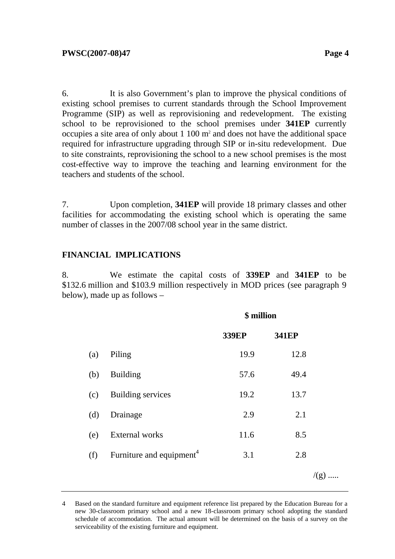6. It is also Government's plan to improve the physical conditions of existing school premises to current standards through the School Improvement Programme (SIP) as well as reprovisioning and redevelopment. The existing school to be reprovisioned to the school premises under **341EP** currently occupies a site area of only about  $1\ 100 \text{ m}^2$  and does not have the additional space required for infrastructure upgrading through SIP or in-situ redevelopment. Due to site constraints, reprovisioning the school to a new school premises is the most cost-effective way to improve the teaching and learning environment for the teachers and students of the school.

7. Upon completion, **341EP** will provide 18 primary classes and other facilities for accommodating the existing school which is operating the same number of classes in the 2007/08 school year in the same district.

# **FINANCIAL IMPLICATIONS**

8. We estimate the capital costs of **339EP** and **341EP** to be \$132.6 million and \$103.9 million respectively in MOD prices (see paragraph 9 below), made up as follows –

|     |                                      | \$ million   |              |                 |
|-----|--------------------------------------|--------------|--------------|-----------------|
|     |                                      | <b>339EP</b> | <b>341EP</b> |                 |
| (a) | Piling                               | 19.9         | 12.8         |                 |
| (b) | <b>Building</b>                      | 57.6         | 49.4         |                 |
| (c) | <b>Building services</b>             | 19.2         | 13.7         |                 |
| (d) | Drainage                             | 2.9          | 2.1          |                 |
| (e) | <b>External works</b>                | 11.6         | 8.5          |                 |
| (f) | Furniture and equipment <sup>4</sup> | 3.1          | 2.8          |                 |
|     |                                      |              |              | $/(\mathrm{g})$ |

<sup>4</sup> Based on the standard furniture and equipment reference list prepared by the Education Bureau for a new 30-classroom primary school and a new 18-classroom primary school adopting the standard schedule of accommodation. The actual amount will be determined on the basis of a survey on the serviceability of the existing furniture and equipment.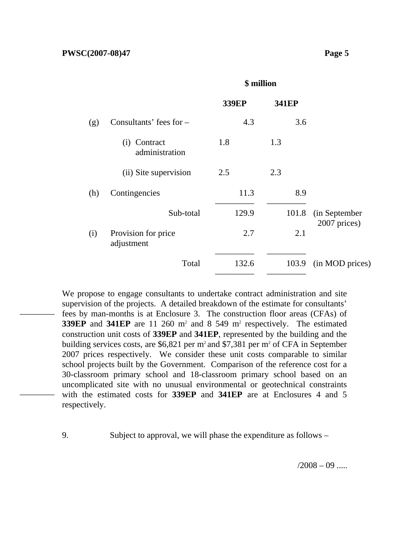––––––––

––––––––

|     |                                   | <b>339EP</b> | <b>341EP</b> |                 |
|-----|-----------------------------------|--------------|--------------|-----------------|
| (g) | Consultants' fees for $-$         | 4.3          | 3.6          |                 |
|     | Contract<br>(i)<br>administration | 1.8          | 1.3          |                 |
|     | (ii) Site supervision             | 2.5          | 2.3          |                 |
| (h) | Contingencies                     | 11.3         | 8.9          |                 |
|     | Sub-total                         | 129.9        | 101.8        | (in September   |
| (i) | Provision for price<br>adjustment | 2.7          | 2.1          | 2007 prices)    |
|     | Total                             | 132.6        | 103.9        | (in MOD prices) |

**\$ million** 

We propose to engage consultants to undertake contract administration and site supervision of the projects. A detailed breakdown of the estimate for consultants' fees by man-months is at Enclosure 3. The construction floor areas (CFAs) of **339EP** and **341EP** are 11 260 m<sup>2</sup> and 8 549 m<sup>2</sup> respectively. The estimated construction unit costs of **339EP** and **341EP**, represented by the building and the building services costs, are  $$6,821$  per m<sup>2</sup> and \$7,381 per m<sup>2</sup> of CFA in September 2007 prices respectively. We consider these unit costs comparable to similar school projects built by the Government. Comparison of the reference cost for a 30-classroom primary school and 18-classroom primary school based on an uncomplicated site with no unusual environmental or geotechnical constraints with the estimated costs for **339EP** and **341EP** are at Enclosures 4 and 5 respectively.

9. Subject to approval, we will phase the expenditure as follows –

 $/2008 - 09$  .....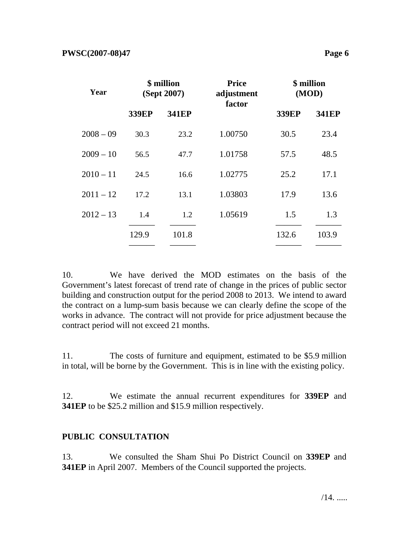| Year        | \$ million<br>(Sept 2007) |              | <b>Price</b><br>adjustment<br>factor | \$ million<br>(MOD) |              |
|-------------|---------------------------|--------------|--------------------------------------|---------------------|--------------|
|             | <b>339EP</b>              | <b>341EP</b> |                                      | <b>339EP</b>        | <b>341EP</b> |
| $2008 - 09$ | 30.3                      | 23.2         | 1.00750                              | 30.5                | 23.4         |
| $2009 - 10$ | 56.5                      | 47.7         | 1.01758                              | 57.5                | 48.5         |
| $2010 - 11$ | 24.5                      | 16.6         | 1.02775                              | 25.2                | 17.1         |
| $2011 - 12$ | 17.2                      | 13.1         | 1.03803                              | 17.9                | 13.6         |
| $2012 - 13$ | 1.4                       | 1.2          | 1.05619                              | 1.5                 | 1.3          |
|             | 129.9                     | 101.8        |                                      | 132.6               | 103.9        |
|             |                           |              |                                      |                     |              |

10. We have derived the MOD estimates on the basis of the Government's latest forecast of trend rate of change in the prices of public sector building and construction output for the period 2008 to 2013. We intend to award the contract on a lump-sum basis because we can clearly define the scope of the works in advance. The contract will not provide for price adjustment because the contract period will not exceed 21 months.

11. The costs of furniture and equipment, estimated to be \$5.9 million in total, will be borne by the Government. This is in line with the existing policy.

12. We estimate the annual recurrent expenditures for **339EP** and **341EP** to be \$25.2 million and \$15.9 million respectively.

# **PUBLIC CONSULTATION**

13. We consulted the Sham Shui Po District Council on **339EP** and **341EP** in April 2007. Members of the Council supported the projects.

/14. .....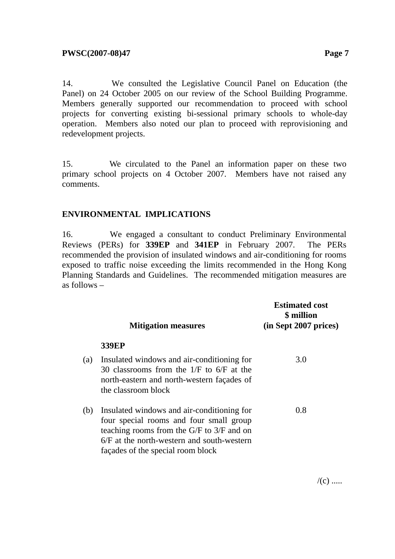14. We consulted the Legislative Council Panel on Education (the Panel) on 24 October 2005 on our review of the School Building Programme. Members generally supported our recommendation to proceed with school projects for converting existing bi-sessional primary schools to whole-day operation. Members also noted our plan to proceed with reprovisioning and redevelopment projects.

15. We circulated to the Panel an information paper on these two primary school projects on 4 October 2007. Members have not raised any comments.

### **ENVIRONMENTAL IMPLICATIONS**

16. We engaged a consultant to conduct Preliminary Environmental Reviews (PERs) for **339EP** and **341EP** in February 2007. The PERs recommended the provision of insulated windows and air-conditioning for rooms exposed to traffic noise exceeding the limits recommended in the Hong Kong Planning Standards and Guidelines. The recommended mitigation measures are as follows –

|     | <b>Mitigation measures</b>                                                                                                                                                                                                  | <b>Estimated cost</b><br>\$ million<br>(in Sept 2007 prices) |
|-----|-----------------------------------------------------------------------------------------------------------------------------------------------------------------------------------------------------------------------------|--------------------------------------------------------------|
|     | <b>339EP</b>                                                                                                                                                                                                                |                                                              |
| (a) | Insulated windows and air-conditioning for<br>30 classrooms from the $1/F$ to 6/F at the<br>north-eastern and north-western façades of<br>the classroom block                                                               | 3.0                                                          |
| (b) | Insulated windows and air-conditioning for<br>four special rooms and four small group<br>teaching rooms from the $G/F$ to $3/F$ and on<br>$6/F$ at the north-western and south-western<br>façades of the special room block | 0.8                                                          |

 $/(c)$  .....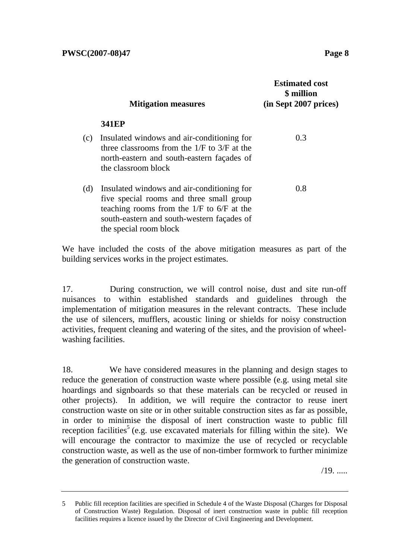|     | <b>Mitigation measures</b>                                                                                                                                                                                      | <b>Estimated cost</b><br>\$ million<br>(in Sept 2007 prices) |
|-----|-----------------------------------------------------------------------------------------------------------------------------------------------------------------------------------------------------------------|--------------------------------------------------------------|
|     | <b>341EP</b>                                                                                                                                                                                                    |                                                              |
| (c) | Insulated windows and air-conditioning for<br>three classrooms from the $1/F$ to $3/F$ at the<br>north-eastern and south-eastern façades of<br>the classroom block                                              | 0.3                                                          |
| (d) | Insulated windows and air-conditioning for<br>five special rooms and three small group<br>teaching rooms from the $1/F$ to $6/F$ at the<br>south-eastern and south-western façades of<br>the special room block | 0.8                                                          |

We have included the costs of the above mitigation measures as part of the building services works in the project estimates.

17. During construction, we will control noise, dust and site run-off nuisances to within established standards and guidelines through the implementation of mitigation measures in the relevant contracts. These include the use of silencers, mufflers, acoustic lining or shields for noisy construction activities, frequent cleaning and watering of the sites, and the provision of wheelwashing facilities.

18. We have considered measures in the planning and design stages to reduce the generation of construction waste where possible (e.g. using metal site hoardings and signboards so that these materials can be recycled or reused in other projects). In addition, we will require the contractor to reuse inert construction waste on site or in other suitable construction sites as far as possible, in order to minimise the disposal of inert construction waste to public fill reception facilities<sup>5</sup> (e.g. use excavated materials for filling within the site). We will encourage the contractor to maximize the use of recycled or recyclable construction waste, as well as the use of non-timber formwork to further minimize the generation of construction waste.

/19. .....

<sup>5</sup> Public fill reception facilities are specified in Schedule 4 of the Waste Disposal (Charges for Disposal of Construction Waste) Regulation. Disposal of inert construction waste in public fill reception facilities requires a licence issued by the Director of Civil Engineering and Development.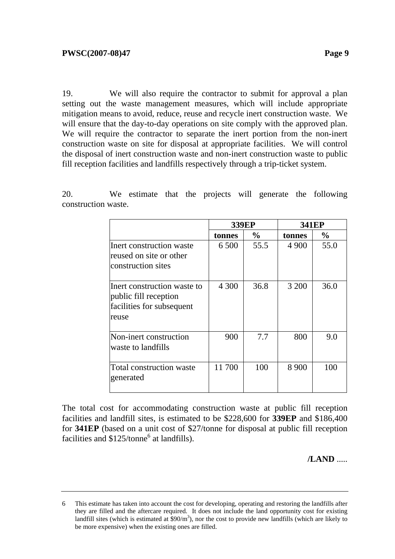19. We will also require the contractor to submit for approval a plan setting out the waste management measures, which will include appropriate mitigation means to avoid, reduce, reuse and recycle inert construction waste. We will ensure that the day-to-day operations on site comply with the approved plan. We will require the contractor to separate the inert portion from the non-inert construction waste on site for disposal at appropriate facilities. We will control the disposal of inert construction waste and non-inert construction waste to public fill reception facilities and landfills respectively through a trip-ticket system.

20. We estimate that the projects will generate the following construction waste.

|                                                                                            | <b>339EP</b> |               | <b>341EP</b> |               |
|--------------------------------------------------------------------------------------------|--------------|---------------|--------------|---------------|
|                                                                                            | tonnes       | $\frac{0}{0}$ | tonnes       | $\frac{0}{0}$ |
| Inert construction waste<br>reused on site or other<br>construction sites                  | 6 500        | 55.5          | 4 9 0 0      | 55.0          |
| Inert construction waste to<br>public fill reception<br>facilities for subsequent<br>reuse | 4 300        | 36.8          | 3 200        | 36.0          |
| Non-inert construction<br>waste to landfills                                               | 900          | 7.7           | 800          | 9.0           |
| <b>Total construction waste</b><br>generated                                               | 11 700       | 100           | 8 9 0 0      | 100           |

The total cost for accommodating construction waste at public fill reception facilities and landfill sites, is estimated to be \$228,600 for **339EP** and \$186,400 for **341EP** (based on a unit cost of \$27/tonne for disposal at public fill reception facilities and  $$125/tonne<sup>6</sup>$  at landfills).

**/LAND** .....

<sup>6</sup> This estimate has taken into account the cost for developing, operating and restoring the landfills after they are filled and the aftercare required. It does not include the land opportunity cost for existing landfill sites (which is estimated at  $\frac{1}{2}90/m^3$ ), nor the cost to provide new landfills (which are likely to be more expensive) when the existing ones are filled.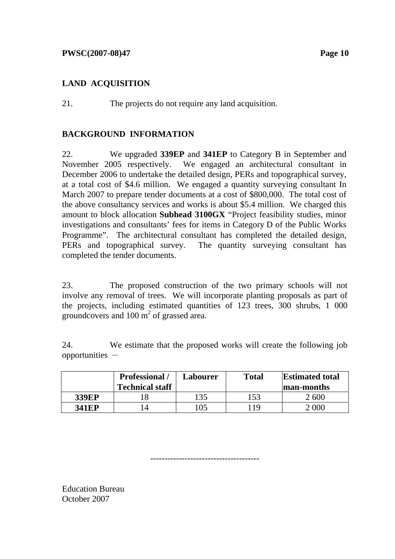# **LAND ACQUISITION**

21. The projects do not require any land acquisition.

# **BACKGROUND INFORMATION**

22. We upgraded **339EP** and **341EP** to Category B in September and November 2005 respectively. We engaged an architectural consultant in December 2006 to undertake the detailed design, PERs and topographical survey, at a total cost of \$4.6 million. We engaged a quantity surveying consultant In March 2007 to prepare tender documents at a cost of \$800,000. The total cost of the above consultancy services and works is about \$5.4 million. We charged this amount to block allocation **Subhead 3100GX** "Project feasibility studies, minor investigations and consultants' fees for items in Category D of the Public Works Programme". The architectural consultant has completed the detailed design, PERs and topographical survey. The quantity surveying consultant has completed the tender documents.

23. The proposed construction of the two primary schools will not involve any removal of trees. We will incorporate planting proposals as part of the projects, including estimated quantities of 123 trees, 300 shrubs, 1 000 groundcovers and  $100 \text{ m}^2$  of grassed area.

24. We estimate that the proposed works will create the following job  $opportunities -$ 

|              | <b>Professional</b> /<br><b>Technical staff</b> | Labourer | <b>Total</b> | <b>Estimated total</b><br>man-months |
|--------------|-------------------------------------------------|----------|--------------|--------------------------------------|
| <b>339EP</b> |                                                 | l 35     | 153          | 2 600                                |
| <b>341EP</b> |                                                 | 05       | 1 Q          |                                      |

--------------------------------------

Education Bureau October 2007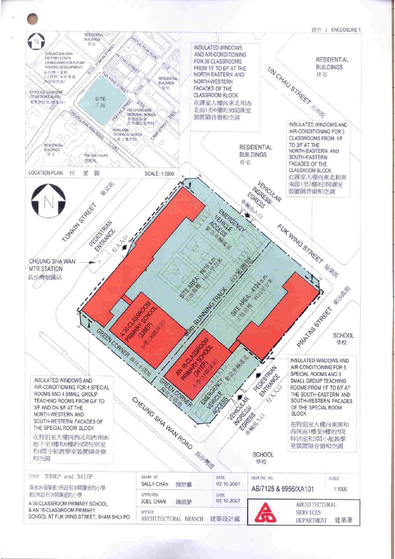

ARCHITECTURAL BRANCH 建築設計處

SCHOOL AT FUK WING STREET, SHAM SHUI PO

**SERVICES**  $\overline{\mathbf{u}}$ DEPARTMENT

建築署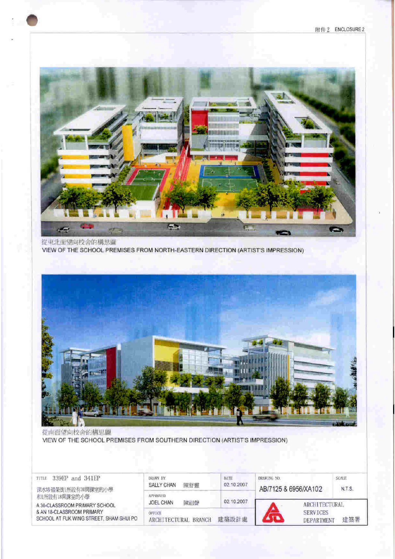附件2 ENCLOSURE2



從東北面望向校舍的構思圖 VIEW OF THE SCHOOL PREMISES FROM NORTH-EASTERN DIRECTION (ARTIST'S IMPRESSION)



從南面望向校舍的構思圖 VIEW OF THE SCHOOL PREMISES FROM SOUTHERN DIRECTION (ARTIST'S IMPRESSION)

| 339EP and 341EP<br>TITLE<br>深水埗福榮街1所設有30開課室的小學<br>和用設有18間課室的小學<br>A 30-CLASSROOM PRIMARY SCHOOL | DRAWN HY<br>陳舒壽<br><b>SALLY CHAN</b> | DATE<br>02.10.2007 | <b>SCALE</b><br><b>DRAWING ND</b><br>N.T.S.<br>AB/7125 & 6956/XA102<br><b>ARCHITECTURAL</b> |     |
|-------------------------------------------------------------------------------------------------|--------------------------------------|--------------------|---------------------------------------------------------------------------------------------|-----|
|                                                                                                 | <b>AFFROVED</b><br>陳祖聲<br>JOEL CHAN  | 02.10.2007         |                                                                                             |     |
| & AN 18-CLASSROOM PRIMARY<br>SCHOOL AT FUK WING STREET, SHAM SHUI PO                            | OFFICE<br>ARCHITECTURAL BRANCH       | 建築設計處              | <b>SERVICES</b><br><b>DEPARTMENT</b>                                                        | 建築署 |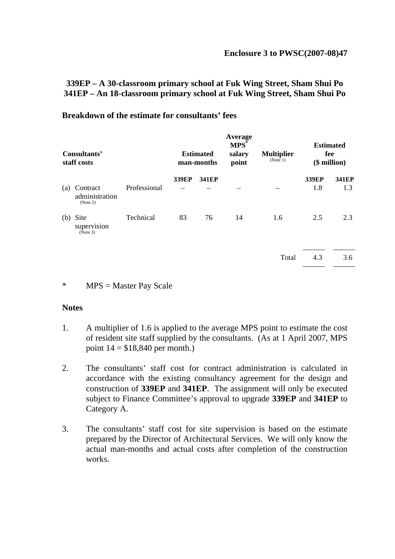# **339EP – A 30-classroom primary school at Fuk Wing Street, Sham Shui Po 341EP – An 18-classroom primary school at Fuk Wing Street, Sham Shui Po**

| Consultants'<br>staff costs |                                        |              | <b>Estimated</b><br>man-months |       | <b>Average</b><br>MPS <sup>*</sup><br>salary<br>point | <b>Multiplier</b><br>(Note 1) | <b>Estimated</b><br>fee<br>$($$ million $)$ |              |
|-----------------------------|----------------------------------------|--------------|--------------------------------|-------|-------------------------------------------------------|-------------------------------|---------------------------------------------|--------------|
| (a)                         | Contract<br>administration<br>(Note 2) | Professional | 339EP                          | 341EP |                                                       |                               | 339EP<br>1.8                                | 341EP<br>1.3 |
| (b)                         | Site<br>supervision<br>(Note 3)        | Technical    | 83                             | 76    | 14                                                    | 1.6                           | 2.5                                         | 2.3          |
|                             |                                        |              |                                |       |                                                       | Total                         | 4.3                                         | 3.6          |

#### **Breakdown of the estimate for consultants' fees**

#### \* MPS = Master Pay Scale

#### **Notes**

- 1. A multiplier of 1.6 is applied to the average MPS point to estimate the cost of resident site staff supplied by the consultants. (As at 1 April 2007, MPS point  $14 = $18,840$  per month.)
- 2. The consultants' staff cost for contract administration is calculated in accordance with the existing consultancy agreement for the design and construction of **339EP** and **341EP**. The assignment will only be executed subject to Finance Committee's approval to upgrade **339EP** and **341EP** to Category A.
- 3. The consultants' staff cost for site supervision is based on the estimate prepared by the Director of Architectural Services. We will only know the actual man-months and actual costs after completion of the construction works.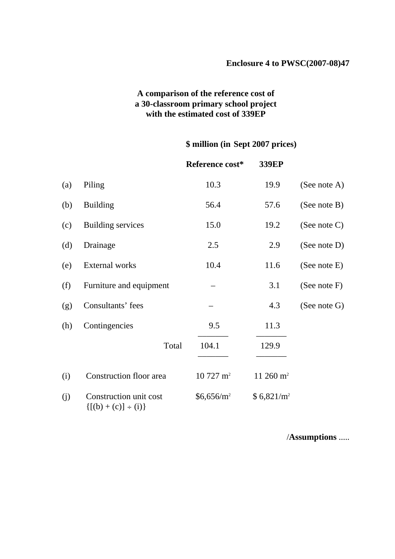# **A comparison of the reference cost of a 30-classroom primary school project with the estimated cost of 339EP**

# **\$ million (in Sept 2007 prices)**

|     |                                                       | Reference cost*     | 339EP                  |                 |
|-----|-------------------------------------------------------|---------------------|------------------------|-----------------|
| (a) | Piling                                                | 10.3                | 19.9                   | (See note A)    |
| (b) | <b>Building</b>                                       | 56.4                | 57.6                   | (See note B)    |
| (c) | Building services                                     | 15.0                | 19.2                   | (See note C)    |
| (d) | Drainage                                              | 2.5                 | 2.9                    | (See note D)    |
| (e) | External works                                        | 10.4                | 11.6                   | (See note E)    |
| (f) | Furniture and equipment                               |                     | 3.1                    | (See note $F$ ) |
| (g) | Consultants' fees                                     |                     | 4.3                    | (See note $G$ ) |
| (h) | Contingencies                                         | 9.5                 | 11.3                   |                 |
|     | Total                                                 | 104.1               | 129.9                  |                 |
| (i) | Construction floor area                               | $10727 \text{ m}^2$ | 11 260 $m2$            |                 |
| (j) | Construction unit cost<br>$\{[(b) + (c)] \div (i)\}\$ | $$6,656/m^2$$       | \$6,821/m <sup>2</sup> |                 |

/**Assumptions** .....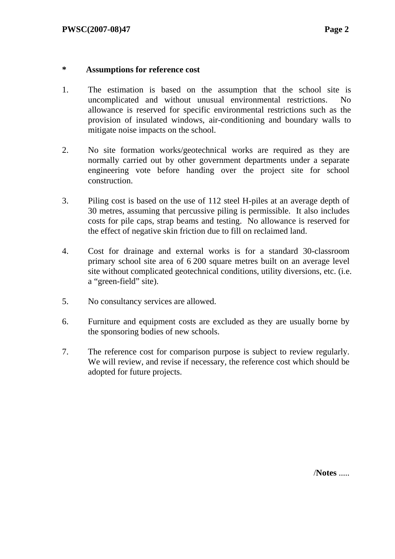### **\* Assumptions for reference cost**

- 1. The estimation is based on the assumption that the school site is uncomplicated and without unusual environmental restrictions. No allowance is reserved for specific environmental restrictions such as the provision of insulated windows, air-conditioning and boundary walls to mitigate noise impacts on the school.
- 2. No site formation works/geotechnical works are required as they are normally carried out by other government departments under a separate engineering vote before handing over the project site for school construction.
- 3. Piling cost is based on the use of 112 steel H-piles at an average depth of 30 metres, assuming that percussive piling is permissible. It also includes costs for pile caps, strap beams and testing. No allowance is reserved for the effect of negative skin friction due to fill on reclaimed land.
- 4. Cost for drainage and external works is for a standard 30-classroom primary school site area of 6 200 square metres built on an average level site without complicated geotechnical conditions, utility diversions, etc. (i.e. a "green-field" site).
- 5. No consultancy services are allowed.
- 6. Furniture and equipment costs are excluded as they are usually borne by the sponsoring bodies of new schools.
- 7. The reference cost for comparison purpose is subject to review regularly. We will review, and revise if necessary, the reference cost which should be adopted for future projects.

/**Notes** .....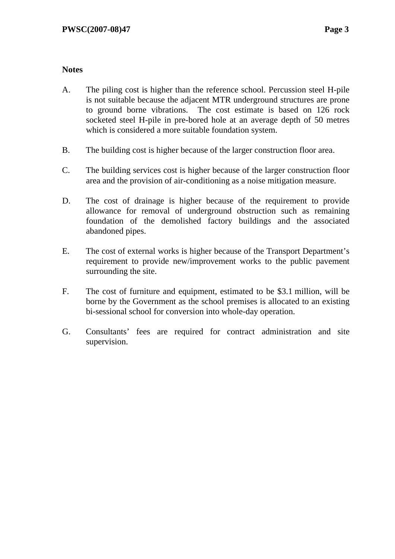# **Notes**

- A. The piling cost is higher than the reference school. Percussion steel H-pile is not suitable because the adjacent MTR underground structures are prone to ground borne vibrations. The cost estimate is based on 126 rock socketed steel H-pile in pre-bored hole at an average depth of 50 metres which is considered a more suitable foundation system.
- B. The building cost is higher because of the larger construction floor area.
- C. The building services cost is higher because of the larger construction floor area and the provision of air-conditioning as a noise mitigation measure.
- D. The cost of drainage is higher because of the requirement to provide allowance for removal of underground obstruction such as remaining foundation of the demolished factory buildings and the associated abandoned pipes.
- E. The cost of external works is higher because of the Transport Department's requirement to provide new/improvement works to the public pavement surrounding the site.
- F. The cost of furniture and equipment, estimated to be \$3.1 million, will be borne by the Government as the school premises is allocated to an existing bi-sessional school for conversion into whole-day operation.
- G. Consultants' fees are required for contract administration and site supervision.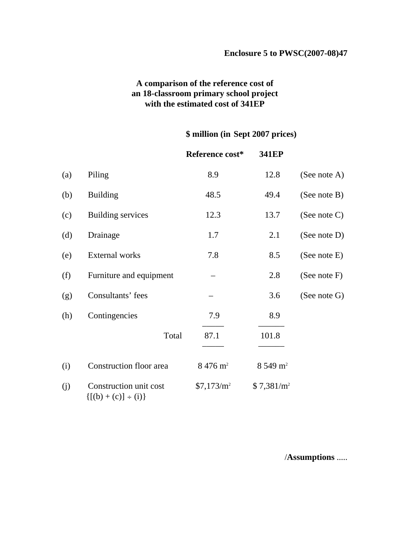# **A comparison of the reference cost of an 18-classroom primary school project with the estimated cost of 341EP**

# **\$ million (in Sept 2007 prices)**

|     |                                                       | Reference cost*        | 341EP                  |                 |
|-----|-------------------------------------------------------|------------------------|------------------------|-----------------|
| (a) | Piling                                                | 8.9                    | 12.8                   | (See note A)    |
| (b) | <b>Building</b>                                       | 48.5                   | 49.4                   | (See note $B$ ) |
| (c) | <b>Building services</b>                              | 12.3                   | 13.7                   | (See note $C$ ) |
| (d) | Drainage                                              | 1.7                    | 2.1                    | (See note D)    |
| (e) | <b>External</b> works                                 | 7.8                    | 8.5                    | (See note E)    |
| (f) | Furniture and equipment                               |                        | 2.8                    | (See note $F$ ) |
| (g) | Consultants' fees                                     |                        | 3.6                    | (See note G)    |
| (h) | Contingencies                                         | 7.9                    | 8.9                    |                 |
|     | Total                                                 | 87.1                   | 101.8                  |                 |
| (i) | Construction floor area                               | $8\,476\,\mathrm{m}^2$ | $8549 \text{ m}^2$     |                 |
| (j) | Construction unit cost<br>$\{[(b) + (c)] \div (i)\}\$ | $$7,173/m^2$           | \$7,381/m <sup>2</sup> |                 |

/**Assumptions** .....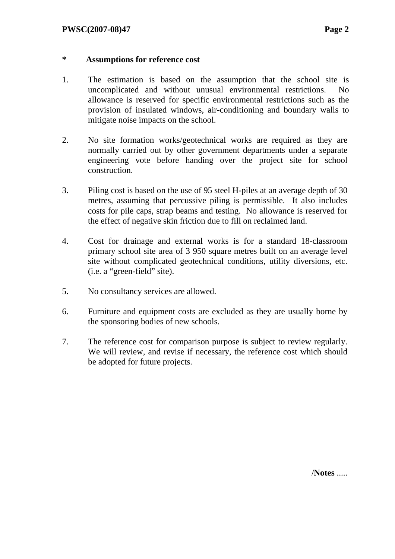## **\* Assumptions for reference cost**

- 1. The estimation is based on the assumption that the school site is uncomplicated and without unusual environmental restrictions. No allowance is reserved for specific environmental restrictions such as the provision of insulated windows, air-conditioning and boundary walls to mitigate noise impacts on the school.
- 2. No site formation works/geotechnical works are required as they are normally carried out by other government departments under a separate engineering vote before handing over the project site for school construction.
- 3. Piling cost is based on the use of 95 steel H-piles at an average depth of 30 metres, assuming that percussive piling is permissible. It also includes costs for pile caps, strap beams and testing. No allowance is reserved for the effect of negative skin friction due to fill on reclaimed land.
- 4. Cost for drainage and external works is for a standard 18-classroom primary school site area of 3 950 square metres built on an average level site without complicated geotechnical conditions, utility diversions, etc. (i.e. a "green-field" site).
- 5. No consultancy services are allowed.
- 6. Furniture and equipment costs are excluded as they are usually borne by the sponsoring bodies of new schools.
- 7. The reference cost for comparison purpose is subject to review regularly. We will review, and revise if necessary, the reference cost which should be adopted for future projects.

/**Notes** .....